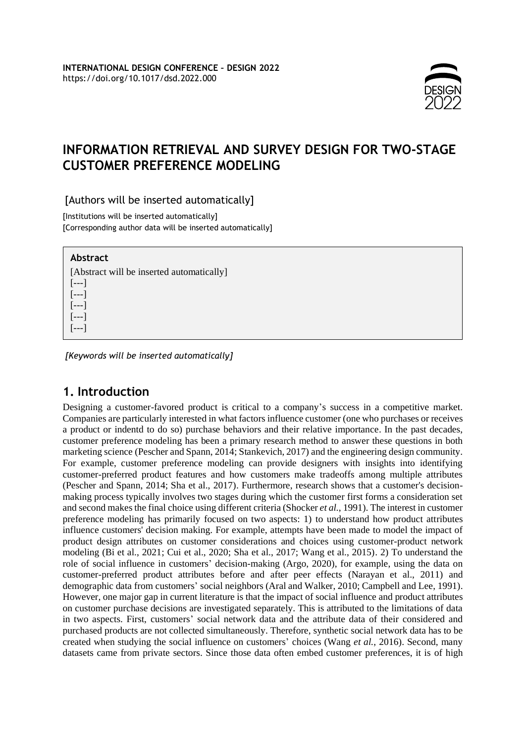

# **INFORMATION RETRIEVAL AND SURVEY DESIGN FOR TWO-STAGE CUSTOMER PREFERENCE MODELING**

### [Authors will be inserted automatically]

[Institutions will be inserted automatically] [Corresponding author data will be inserted automatically]

### **Abstract**

[---] [---] [---] [---] [---]

[Abstract will be inserted automatically]

*[Keywords will be inserted automatically]*

# **1. Introduction**

Designing a customer-favored product is critical to a company's success in a competitive market. Companies are particularly interested in what factors influence customer (one who purchases or receives a product or indentd to do so) purchase behaviors and their relative importance. In the past decades, customer preference modeling has been a primary research method to answer these questions in both marketing science (Pescher and Spann, 2014; Stankevich, 2017) and the engineering design community. For example, customer preference modeling can provide designers with insights into identifying customer-preferred product features and how customers make tradeoffs among multiple attributes (Pescher and Spann, 2014; Sha et al., 2017). Furthermore, research shows that a customer's decisionmaking process typically involves two stages during which the customer first forms a consideration set and second makesthe final choice using different criteria (Shocker *et al.*, 1991). The interest in customer preference modeling has primarily focused on two aspects: 1) to understand how product attributes influence customers' decision making. For example, attempts have been made to model the impact of product design attributes on customer considerations and choices using customer-product network modeling (Bi et al., 2021; Cui et al., 2020; Sha et al., 2017; Wang et al., 2015). 2) To understand the role of social influence in customers' decision-making (Argo, 2020), for example, using the data on customer-preferred product attributes before and after peer effects (Narayan et al., 2011) and demographic data from customers' social neighbors (Aral and Walker, 2010; Campbell and Lee, 1991). However, one major gap in current literature is that the impact of social influence and product attributes on customer purchase decisions are investigated separately. This is attributed to the limitations of data in two aspects. First, customers' social network data and the attribute data of their considered and purchased products are not collected simultaneously. Therefore, synthetic social network data has to be created when studying the social influence on customers' choices (Wang *et al.*, 2016). Second, many datasets came from private sectors. Since those data often embed customer preferences, it is of high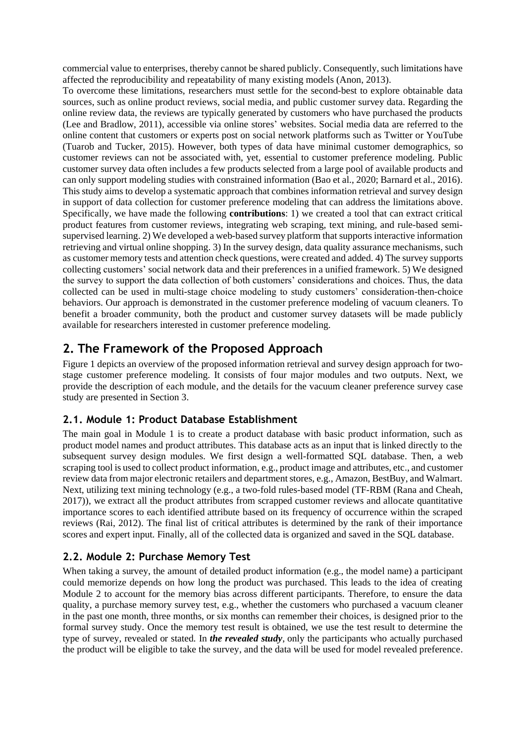commercial value to enterprises, thereby cannot be shared publicly. Consequently, such limitations have affected the reproducibility and repeatability of many existing models (Anon, 2013).

To overcome these limitations, researchers must settle for the second-best to explore obtainable data sources, such as online product reviews, social media, and public customer survey data. Regarding the online review data, the reviews are typically generated by customers who have purchased the products (Lee and Bradlow, 2011), accessible via online stores' websites. Social media data are referred to the online content that customers or experts post on social network platforms such as Twitter or YouTube (Tuarob and Tucker, 2015). However, both types of data have minimal customer demographics, so customer reviews can not be associated with, yet, essential to customer preference modeling. Public customer survey data often includes a few products selected from a large pool of available products and can only support modeling studies with constrained information (Bao et al., 2020; Barnard et al., 2016). This study aims to develop a systematic approach that combines information retrieval and survey design in support of data collection for customer preference modeling that can address the limitations above. Specifically, we have made the following **contributions**: 1) we created a tool that can extract critical product features from customer reviews, integrating web scraping, text mining, and rule-based semisupervised learning. 2) We developed a web-based survey platform that supports interactive information retrieving and virtual online shopping. 3) In the survey design, data quality assurance mechanisms, such as customer memory tests and attention check questions, were created and added. 4) The survey supports collecting customers' social network data and their preferences in a unified framework. 5) We designed the survey to support the data collection of both customers' considerations and choices. Thus, the data collected can be used in multi-stage choice modeling to study customers' consideration-then-choice behaviors. Our approach is demonstrated in the customer preference modeling of vacuum cleaners. To benefit a broader community, both the product and customer survey datasets will be made publicly available for researchers interested in customer preference modeling.

# **2. The Framework of the Proposed Approach**

[Figure 1](#page-2-0) depicts an overview of the proposed information retrieval and survey design approach for twostage customer preference modeling. It consists of four major modules and two outputs. Next, we provide the description of each module, and the details for the vacuum cleaner preference survey case study are presented in Section 3.

## **2.1. Module 1: Product Database Establishment**

The main goal in Module 1 is to create a product database with basic product information, such as product model names and product attributes. This database acts as an input that is linked directly to the subsequent survey design modules. We first design a well-formatted SQL database. Then, a web scraping tool is used to collect product information, e.g., product image and attributes, etc., and customer review data from major electronic retailers and department stores, e.g., Amazon, BestBuy, and Walmart. Next, utilizing text mining technology (e.g., a two-fold rules-based model (TF-RBM (Rana and Cheah, 2017)), we extract all the product attributes from scrapped customer reviews and allocate quantitative importance scores to each identified attribute based on its frequency of occurrence within the scraped reviews (Rai, 2012). The final list of critical attributes is determined by the rank of their importance scores and expert input. Finally, all of the collected data is organized and saved in the SQL database.

## **2.2. Module 2: Purchase Memory Test**

When taking a survey, the amount of detailed product information (e.g., the model name) a participant could memorize depends on how long the product was purchased. This leads to the idea of creating Module 2 to account for the memory bias across different participants. Therefore, to ensure the data quality, a purchase memory survey test, e.g., whether the customers who purchased a vacuum cleaner in the past one month, three months, or six months can remember their choices, is designed prior to the formal survey study. Once the memory test result is obtained, we use the test result to determine the type of survey, revealed or stated*.* In *the revealed study*, only the participants who actually purchased the product will be eligible to take the survey, and the data will be used for model revealed preference.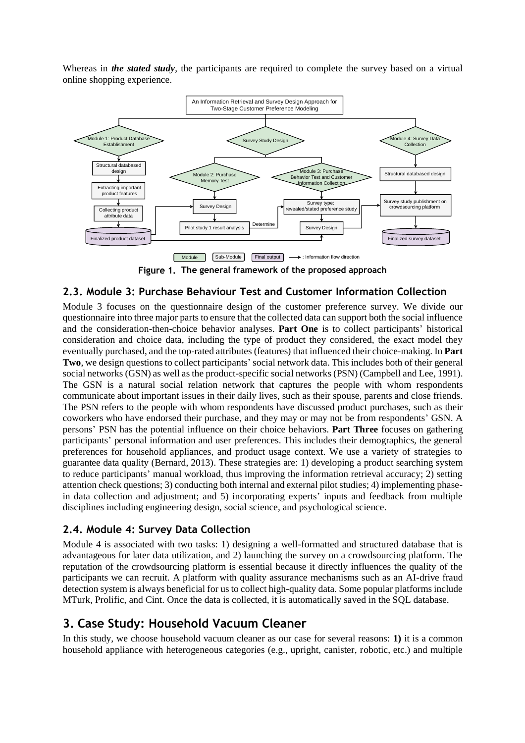Whereas in *the stated study*, the participants are required to complete the survey based on a virtual online shopping experience.



**The general framework of the proposed approach**

### <span id="page-2-1"></span><span id="page-2-0"></span>**2.3. Module 3: Purchase Behaviour Test and Customer Information Collection**

Module 3 focuses on the questionnaire design of the customer preference survey. We divide our questionnaire into three major parts to ensure that the collected data can support both the social influence and the consideration-then-choice behavior analyses. **Part One** is to collect participants' historical consideration and choice data, including the type of product they considered, the exact model they eventually purchased, and the top-rated attributes (features) that influenced their choice-making. In **Part Two**, we design questions to collect participants' social network data. This includes both of their general social networks (GSN) as well as the product-specific social networks (PSN) (Campbell and Lee, 1991). The GSN is a natural social relation network that captures the people with whom respondents communicate about important issues in their daily lives, such as their spouse, parents and close friends. The PSN refers to the people with whom respondents have discussed product purchases, such as their coworkers who have endorsed their purchase, and they may or may not be from respondents' GSN. A persons' PSN has the potential influence on their choice behaviors. **Part Three** focuses on gathering participants' personal information and user preferences. This includes their demographics, the general preferences for household appliances, and product usage context. We use a variety of strategies to guarantee data quality (Bernard, 2013). These strategies are: 1) developing a product searching system to reduce participants' manual workload, thus improving the information retrieval accuracy; 2) setting attention check questions; 3) conducting both internal and external pilot studies; 4) implementing phasein data collection and adjustment; and 5) incorporating experts' inputs and feedback from multiple disciplines including engineering design, social science, and psychological science.

## **2.4. Module 4: Survey Data Collection**

Module 4 is associated with two tasks: 1) designing a well-formatted and structured database that is advantageous for later data utilization, and 2) launching the survey on a crowdsourcing platform. The reputation of the crowdsourcing platform is essential because it directly influences the quality of the participants we can recruit. A platform with quality assurance mechanisms such as an AI-drive fraud detection system is always beneficial for us to collect high-quality data. Some popular platforms include MTurk, Prolific, and Cint. Once the data is collected, it is automatically saved in the SQL database.

# **3. Case Study: Household Vacuum Cleaner**

In this study, we choose household vacuum cleaner as our case for several reasons: **1)** it is a common household appliance with heterogeneous categories (e.g., upright, canister, robotic, etc.) and multiple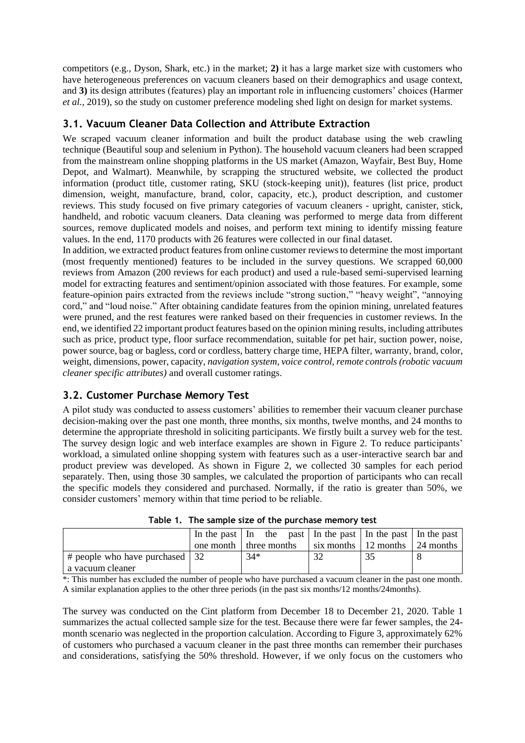competitors (e.g., Dyson, Shark, etc.) in the market; **2)** it has a large market size with customers who have heterogeneous preferences on vacuum cleaners based on their demographics and usage context, and **3)** its design attributes (features) play an important role in influencing customers' choices (Harmer *et al.*, 2019), so the study on customer preference modeling shed light on design for market systems.

### <span id="page-3-1"></span>**3.1. Vacuum Cleaner Data Collection and Attribute Extraction**

We scraped vacuum cleaner information and built the product database using the web crawling technique (Beautiful soup and selenium in Python). The household vacuum cleaners had been scrapped from the mainstream online shopping platforms in the US market (Amazon, Wayfair, Best Buy, Home Depot, and Walmart). Meanwhile, by scrapping the structured website, we collected the product information (product title, customer rating, SKU (stock-keeping unit)), features (list price, product dimension, weight, manufacture, brand, color, capacity, etc.), product description, and customer reviews. This study focused on five primary categories of vacuum cleaners - upright, canister, stick, handheld, and robotic vacuum cleaners. Data cleaning was performed to merge data from different sources, remove duplicated models and noises, and perform text mining to identify missing feature values. In the end, 1170 products with 26 features were collected in our final dataset.

In addition, we extracted product features from online customer reviews to determine the most important (most frequently mentioned) features to be included in the survey questions. We scrapped 60,000 reviews from Amazon (200 reviews for each product) and used a rule-based semi-supervised learning model for extracting features and sentiment/opinion associated with those features. For example, some feature-opinion pairs extracted from the reviews include "strong suction," "heavy weight", "annoying cord," and "loud noise." After obtaining candidate features from the opinion mining, unrelated features were pruned, and the rest features were ranked based on their frequencies in customer reviews. In the end, we identified 22 important product features based on the opinion mining results, including attributes such as price, product type, floor surface recommendation, suitable for pet hair, suction power, noise, power source, bag or bagless, cord or cordless, battery charge time, HEPA filter, warranty, brand, color, weight, dimensions, power, capacity, *navigation system, voice control, remote controls (robotic vacuum cleaner specific attributes)* and overall customer ratings.

## **3.2. Customer Purchase Memory Test**

A pilot study was conducted to assess customers' abilities to remember their vacuum cleaner purchase decision-making over the past one month, three months, six months, twelve months, and 24 months to determine the appropriate threshold in soliciting participants. We firstly built a survey web for the test. The survey design logic and web interface examples are shown in [Figure 2.](#page-4-0) To reduce participants' workload, a simulated online shopping system with features such as a user-interactive search bar and product preview was developed. As shown in [Figure 2,](#page-4-0) we collected 30 samples for each period separately. Then, using those 30 samples, we calculated the proportion of participants who can recall the specific models they considered and purchased. Normally, if the ratio is greater than 50%, we consider customers' memory within that time period to be reliable.

<span id="page-3-0"></span>

|                                     | In the past   In the past   In the past   In the past   In the past |                                                |  |
|-------------------------------------|---------------------------------------------------------------------|------------------------------------------------|--|
|                                     | one month I three months                                            | six months $\vert$ 12 months $\vert$ 24 months |  |
| $\#$ people who have purchased   32 | $34*$                                                               |                                                |  |
| a vacuum cleaner                    |                                                                     |                                                |  |

**Table 1. The sample size of the purchase memory test**

\*: This number has excluded the number of people who have purchased a vacuum cleaner in the past one month. A similar explanation applies to the other three periods (in the past six months/12 months/24months).

The survey was conducted on the Cint platform from December 18 to December 21, 2020. [Table 1](#page-3-0) summarizes the actual collected sample size for the test. Because there were far fewer samples, the 24 month scenario was neglected in the proportion calculation. According to [Figure 3,](#page-4-1) approximately 62% of customers who purchased a vacuum cleaner in the past three months can remember their purchases and considerations, satisfying the 50% threshold. However, if we only focus on the customers who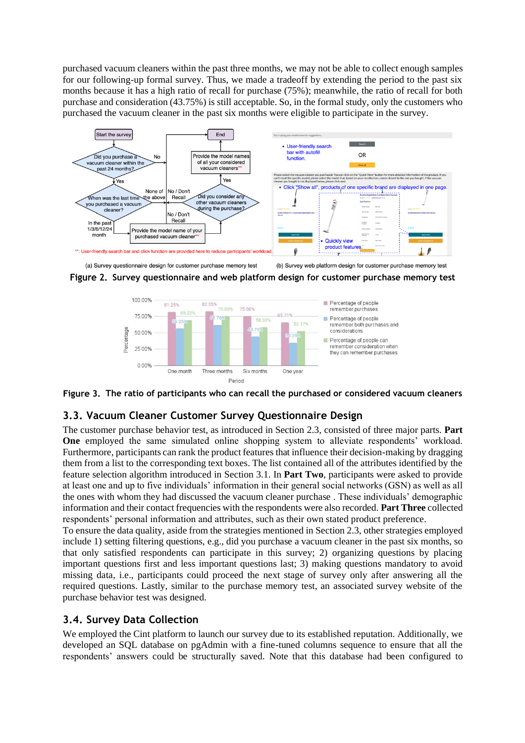purchased vacuum cleaners within the past three months, we may not be able to collect enough samples for our following-up formal survey. Thus, we made a tradeoff by extending the period to the past six months because it has a high ratio of recall for purchase (75%); meanwhile, the ratio of recall for both purchase and consideration (43.75%) is still acceptable. So, in the formal study, only the customers who purchased the vacuum cleaner in the past six months were eligible to participate in the survey.



<span id="page-4-0"></span>



<span id="page-4-1"></span>**The ratio of participants who can recall the purchased or considered vacuum cleaners**

#### **3.3. Vacuum Cleaner Customer Survey Questionnaire Design**

The customer purchase behavior test, as introduced in Section [2.3,](#page-2-1) consisted of three major parts. **Part One** employed the same simulated online shopping system to alleviate respondents' workload. Furthermore, participants can rank the product features that influence their decision-making by dragging them from a list to the corresponding text boxes. The list contained all of the attributes identified by the feature selection algorithm introduced in Section [3.1.](#page-3-1) In **Part Two**, participants were asked to provide at least one and up to five individuals' information in their general social networks (GSN) as well as all the ones with whom they had discussed the vacuum cleaner purchase . These individuals' demographic information and their contact frequencies with the respondents were also recorded. **Part Three** collected respondents' personal information and attributes, such as their own stated product preference.

To ensure the data quality, aside from the strategies mentioned in Section [2.3,](#page-2-1) other strategies employed include 1) setting filtering questions, e.g., did you purchase a vacuum cleaner in the past six months, so that only satisfied respondents can participate in this survey; 2) organizing questions by placing important questions first and less important questions last; 3) making questions mandatory to avoid missing data, i.e., participants could proceed the next stage of survey only after answering all the required questions. Lastly, similar to the purchase memory test, an associated survey website of the purchase behavior test was designed.

#### **3.4. Survey Data Collection**

We employed the Cint platform to launch our survey due to its established reputation. Additionally, we developed an SQL database on pgAdmin with a fine-tuned columns sequence to ensure that all the respondents' answers could be structurally saved. Note that this database had been configured to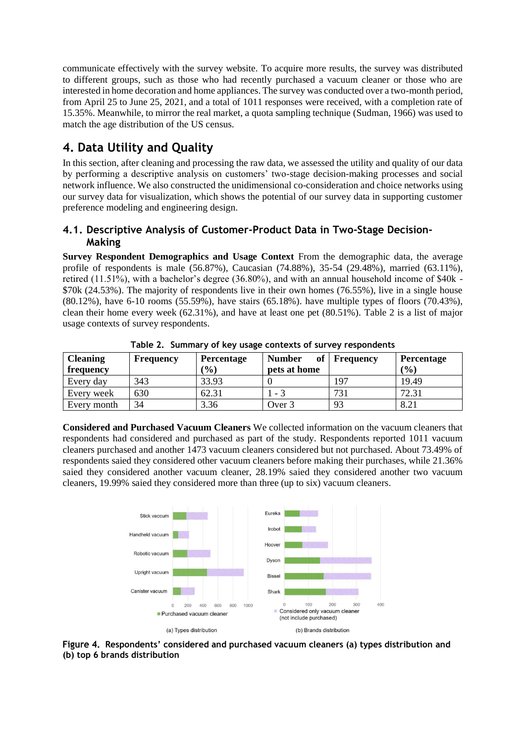communicate effectively with the survey website. To acquire more results, the survey was distributed to different groups, such as those who had recently purchased a vacuum cleaner or those who are interested in home decoration and home appliances. The survey was conducted over a two-month period, from April 25 to June 25, 2021, and a total of 1011 responses were received, with a completion rate of 15.35%. Meanwhile, to mirror the real market, a quota sampling technique (Sudman, 1966) was used to match the age distribution of the US census.

# **4. Data Utility and Quality**

In this section, after cleaning and processing the raw data, we assessed the utility and quality of our data by performing a descriptive analysis on customers' two-stage decision-making processes and social network influence. We also constructed the unidimensional co-consideration and choice networks using our survey data for visualization, which shows the potential of our survey data in supporting customer preference modeling and engineering design.

### **4.1. Descriptive Analysis of Customer-Product Data in Two-Stage Decision-Making**

**Survey Respondent Demographics and Usage Context** From the demographic data, the average profile of respondents is male (56.87%), Caucasian (74.88%), 35-54 (29.48%), married (63.11%), retired (11.51%), with a bachelor's degree (36.80%), and with an annual household income of \$40k - \$70k (24.53%). The majority of respondents live in their own homes (76.55%), live in a single house (80.12%), have 6-10 rooms (55.59%), have stairs (65.18%). have multiple types of floors (70.43%), clean their home every week (62.31%), and have at least one pet (80.51%). [Table 2](#page-5-0) is a list of major usage contexts of survey respondents.

<span id="page-5-0"></span>

| <b>Cleaning</b><br>frequency | Frequency | <b>Percentage</b><br>$\frac{1}{2}$ ( $\frac{1}{2}$ ) | <b>Number</b><br>of<br>pets at home | <b>Frequency</b> | <b>Percentage</b><br>(%) |
|------------------------------|-----------|------------------------------------------------------|-------------------------------------|------------------|--------------------------|
| Every day                    | 343       | 33.93                                                |                                     | 197              | 19.49                    |
| Every week                   | 630       | 62.31                                                | $-3$                                | 731              | 72.31                    |
| Every month                  | 34        | 3.36                                                 | Over 3                              | 93               | 8.21                     |

**Table 2. Summary of key usage contexts of survey respondents**

**Considered and Purchased Vacuum Cleaners** We collected information on the vacuum cleaners that respondents had considered and purchased as part of the study. Respondents reported 1011 vacuum cleaners purchased and another 1473 vacuum cleaners considered but not purchased. About 73.49% of respondents saied they considered other vacuum cleaners before making their purchases, while 21.36% saied they considered another vacuum cleaner, 28.19% saied they considered another two vacuum cleaners, 19.99% saied they considered more than three (up to six) vacuum cleaners.



<span id="page-5-1"></span>**Respondents' considered and purchased vacuum cleaners (a) types distribution and (b) top 6 brands distribution**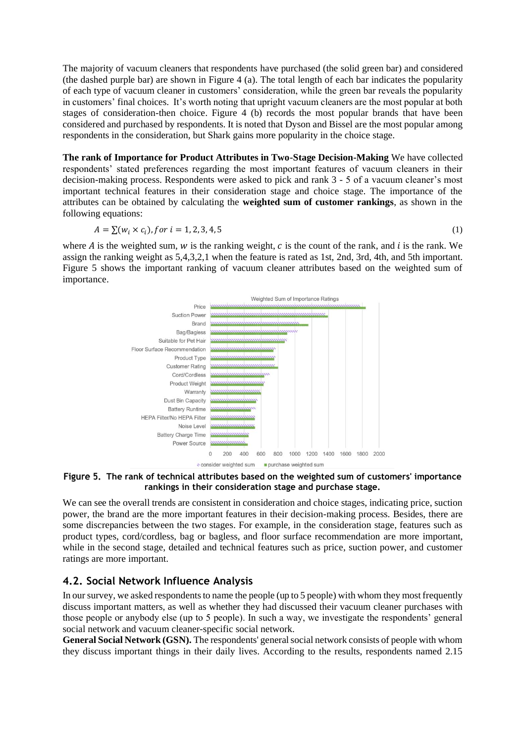The majority of vacuum cleaners that respondents have purchased (the solid green bar) and considered (the dashed purple bar) are shown in [Figure 4](#page-5-1) (a). The total length of each bar indicates the popularity of each type of vacuum cleaner in customers' consideration, while the green bar reveals the popularity in customers' final choices. It's worth noting that upright vacuum cleaners are the most popular at both stages of consideration-then choice. [Figure 4](#page-5-1) (b) records the most popular brands that have been considered and purchased by respondents. It is noted that Dyson and Bissel are the most popular among respondents in the consideration, but Shark gains more popularity in the choice stage.

**The rank of Importance for Product Attributes in Two-Stage Decision-Making** We have collected respondents' stated preferences regarding the most important features of vacuum cleaners in their decision-making process. Respondents were asked to pick and rank 3 - 5 of a vacuum cleaner's most important technical features in their consideration stage and choice stage. The importance of the attributes can be obtained by calculating the **weighted sum of customer rankings**, as shown in the following equations:

$$
A = \sum (w_i \times c_i), \text{for } i = 1, 2, 3, 4, 5 \tag{1}
$$

where  $\vec{A}$  is the weighted sum,  $\vec{w}$  is the ranking weight,  $\vec{c}$  is the count of the rank, and  $\vec{i}$  is the rank. We assign the ranking weight as 5,4,3,2,1 when the feature is rated as 1st, 2nd, 3rd, 4th, and 5th important. [Figure 5](#page-6-0) shows the important ranking of vacuum cleaner attributes based on the weighted sum of importance.



<span id="page-6-0"></span>**The rank of technical attributes based on the weighted sum of customers' importance rankings in their consideration stage and purchase stage.**

We can see the overall trends are consistent in consideration and choice stages, indicating price, suction power, the brand are the more important features in their decision-making process. Besides, there are some discrepancies between the two stages. For example, in the consideration stage, features such as product types, cord/cordless, bag or bagless, and floor surface recommendation are more important, while in the second stage, detailed and technical features such as price, suction power, and customer ratings are more important.

#### **4.2. Social Network Influence Analysis**

In our survey, we asked respondents to name the people (up to 5 people) with whom they most frequently discuss important matters, as well as whether they had discussed their vacuum cleaner purchases with those people or anybody else (up to 5 people). In such a way, we investigate the respondents' general social network and vacuum cleaner-specific social network.

**General Social Network (GSN).** The respondents' general social network consists of people with whom they discuss important things in their daily lives. According to the results, respondents named 2.15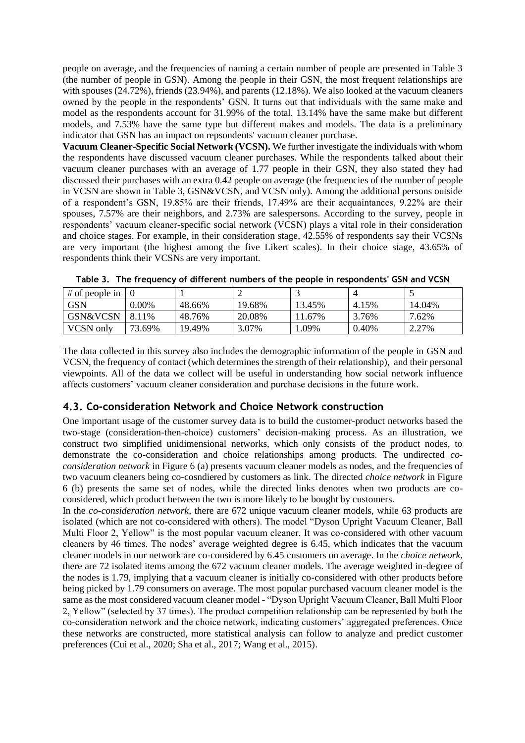people on average, and the frequencies of naming a certain number of people are presented in Table 3 (the number of people in GSN). Among the people in their GSN, the most frequent relationships are with spouses (24.72%), friends (23.94%), and parents (12.18%). We also looked at the vacuum cleaners owned by the people in the respondents' GSN. It turns out that individuals with the same make and model as the respondents account for 31.99% of the total. 13.14% have the same make but different models, and 7.53% have the same type but different makes and models. The data is a preliminary indicator that GSN has an impact on repsondents' vacuum cleaner purchase.

**Vacuum Cleaner-Specific Social Network (VCSN).** We further investigate the individuals with whom the respondents have discussed vacuum cleaner purchases. While the respondents talked about their vacuum cleaner purchases with an average of 1.77 people in their GSN, they also stated they had discussed their purchases with an extra 0.42 people on average (the frequencies of the number of people in VCSN are shown in Table 3, GSN&VCSN, and VCSN only). Among the additional persons outside of a respondent's GSN, 19.85% are their friends, 17.49% are their acquaintances, 9.22% are their spouses, 7.57% are their neighbors, and 2.73% are salespersons. According to the survey, people in respondents' vacuum cleaner-specific social network (VCSN) plays a vital role in their consideration and choice stages. For example, in their consideration stage, 42.55% of respondents say their VCSNs are very important (the highest among the five Likert scales). In their choice stage, 43.65% of respondents think their VCSNs are very important.

| $#$ of people in |           |        |        |        |       |        |
|------------------|-----------|--------|--------|--------|-------|--------|
| GSN              | $0.00\%$  | 48.66% | 19.68% | 13.45% | 4.15% | 14.04% |
| GSN&VCSN         | 8.<br>11% | 48.76% | 20.08% | 1.67%  | 3.76% | 7.62%  |
| <b>VCSN</b> only | 73.69%    | 19.49% | 3.07%  | .09%   | 0.40% | 2.27%  |

**Table 3. The frequency of different numbers of the people in respondents' GSN and VCSN**

The data collected in this survey also includes the demographic information of the people in GSN and VCSN, the frequency of contact (which determines the strength of their relationship), and their personal viewpoints. All of the data we collect will be useful in understanding how social network influence affects customers' vacuum cleaner consideration and purchase decisions in the future work.

#### **4.3. Co-consideration Network and Choice Network construction**

One important usage of the customer survey data is to build the customer-product networks based the two-stage (consideration-then-choice) customers' decision-making process. As an illustration, we construct two simplified unidimensional networks, which only consists of the product nodes, to demonstrate the co-consideration and choice relationships among products. The undirected *coconsideration network* i[n Figure 6](#page-8-0) (a) presents vacuum cleaner models as nodes, and the frequencies of two vacuum cleaners being co-cosndiered by customers as link. The directed *choice network* in [Figure](#page-8-0)  [6](#page-8-0) (b) presents the same set of nodes, while the directed links denotes when two products are coconsidered, which product between the two is more likely to be bought by customers.

In the *co-consideration network*, there are 672 unique vacuum cleaner models, while 63 products are isolated (which are not co-considered with others). The model "Dyson Upright Vacuum Cleaner, Ball Multi Floor 2, Yellow" is the most popular vacuum cleaner. It was co-considered with other vacuum cleaners by 46 times. The nodes' average weighted degree is 6.45, which indicates that the vacuum cleaner models in our network are co-considered by 6.45 customers on average. In the *choice network*, there are 72 isolated items among the 672 vacuum cleaner models. The average weighted in-degree of the nodes is 1.79, implying that a vacuum cleaner is initially co-considered with other products before being picked by 1.79 consumers on average. The most popular purchased vacuum cleaner model is the same as the most considered vacuum cleaner model - "Dyson Upright Vacuum Cleaner, Ball Multi Floor 2, Yellow" (selected by 37 times). The product competition relationship can be represented by both the co-consideration network and the choice network, indicating customers' aggregated preferences. Once these networks are constructed, more statistical analysis can follow to analyze and predict customer preferences (Cui et al., 2020; Sha et al., 2017; Wang et al., 2015).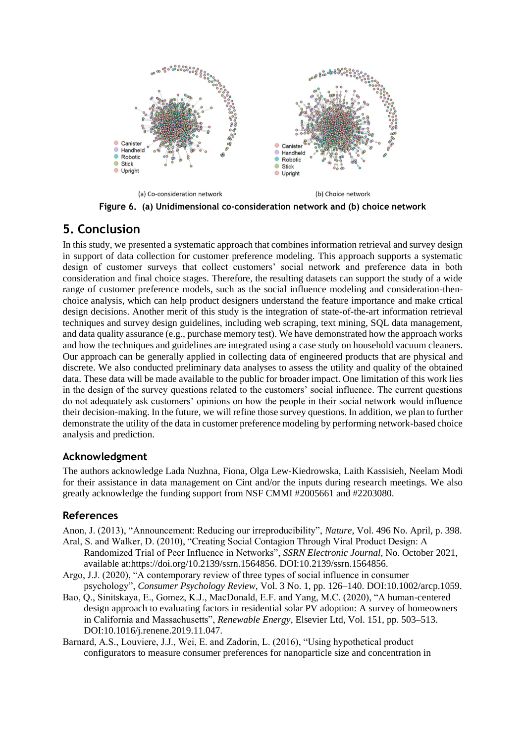

**(a) Unidimensional co-consideration network and (b) choice network**

# <span id="page-8-0"></span>**5. Conclusion**

In this study, we presented a systematic approach that combines information retrieval and survey design in support of data collection for customer preference modeling. This approach supports a systematic design of customer surveys that collect customers' social network and preference data in both consideration and final choice stages. Therefore, the resulting datasets can support the study of a wide range of customer preference models, such as the social influence modeling and consideration-thenchoice analysis, which can help product designers understand the feature importance and make crtical design decisions. Another merit of this study is the integration of state-of-the-art information retrieval techniques and survey design guidelines, including web scraping, text mining, SQL data management, and data quality assurance (e.g., purchase memory test). We have demonstrated how the approach works and how the techniques and guidelines are integrated using a case study on household vacuum cleaners. Our approach can be generally applied in collecting data of engineered products that are physical and discrete. We also conducted preliminary data analyses to assess the utility and quality of the obtained data. These data will be made available to the public for broader impact. One limitation of this work lies in the design of the survey questions related to the customers' social influence. The current questions do not adequately ask customers' opinions on how the people in their social network would influence their decision-making. In the future, we will refine those survey questions. In addition, we plan to further demonstrate the utility of the data in customer preference modeling by performing network-based choice analysis and prediction.

## **Acknowledgment**

The authors acknowledge Lada Nuzhna, Fiona, Olga Lew-Kiedrowska, Laith Kassisieh, Neelam Modi for their assistance in data management on Cint and/or the inputs during research meetings. We also greatly acknowledge the funding support from NSF CMMI #2005661 and #2203080.

#### **References**

- Anon, J. (2013), "Announcement: Reducing our irreproducibility", *Nature*, Vol. 496 No. April, p. 398. Aral, S. and Walker, D. (2010), "Creating Social Contagion Through Viral Product Design: A
- Randomized Trial of Peer Influence in Networks", *SSRN Electronic Journal*, No. October 2021, available at:https://doi.org/10.2139/ssrn.1564856. DOI:10.2139/ssrn.1564856.
- Argo, J.J. (2020), "A contemporary review of three types of social influence in consumer psychology", *Consumer Psychology Review*, Vol. 3 No. 1, pp. 126–140. DOI:10.1002/arcp.1059.
- Bao, Q., Sinitskaya, E., Gomez, K.J., MacDonald, E.F. and Yang, M.C. (2020), "A human-centered design approach to evaluating factors in residential solar PV adoption: A survey of homeowners in California and Massachusetts", *Renewable Energy*, Elsevier Ltd, Vol. 151, pp. 503–513. DOI:10.1016/j.renene.2019.11.047.
- Barnard, A.S., Louviere, J.J., Wei, E. and Zadorin, L. (2016), "Using hypothetical product configurators to measure consumer preferences for nanoparticle size and concentration in